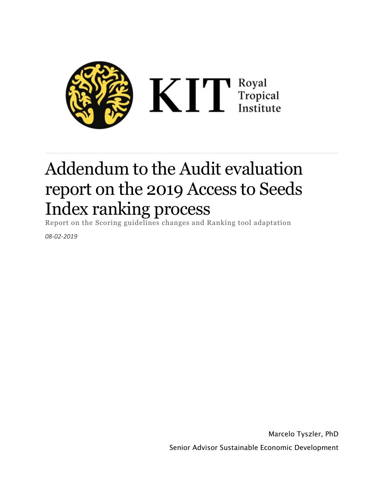

## Addendum to the Audit evaluation report on the 2019 Access to Seeds Index ranking process

Report on the Scoring guidelines changes and Ranking tool adaptation

*08-02-2019*

Marcelo Tyszler, PhD Senior Advisor Sustainable Economic Development